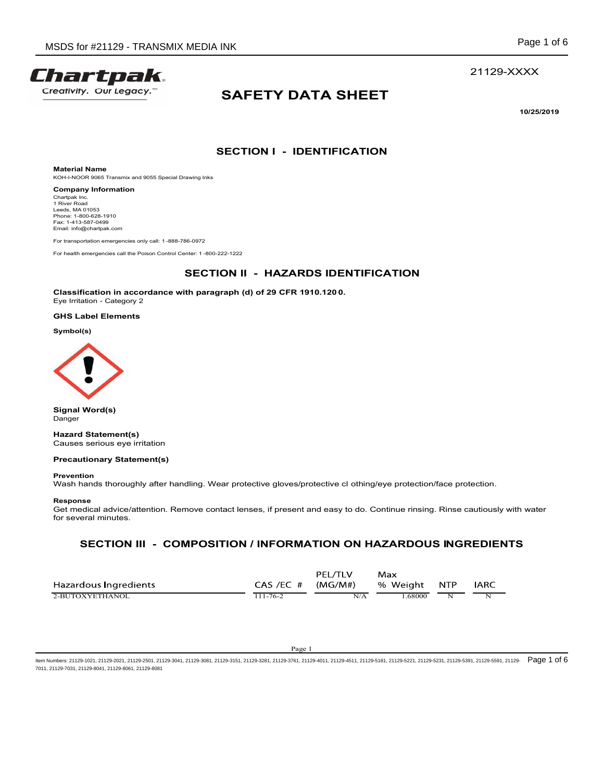

# SAFETY DATA SHEET INK<br>
Page 1 of 6<br>
21129-XXXX<br>
SAFETY DATA SHEET<br>
10/25/2019<br>
SECTION I - IDENTIFICATION MEDIA INK<br>
Page 1 of 6<br>
21129-XXX<br>
SAFETY DATA SHEET<br>
10/25/2019<br>
SECTION I - IDENTIFICATION<br>
2007221222<br>
SECTION II - HAZARDS IDENTIFICATION<br>
th paragraph (d) of 29 CFR 1910.1200.

10/25/2019

21129-XXXX

Material Name KOH-I-NOOR 9065 Transmix and 9055 Special Drawing Inks

Company Information Chartpak Inc.<br>1 River Road Leeds, MA 01053<br>Phone: 1-800-628-1910<br>Fax: 1-413-587-0499 Email: info@chartpak.com



# Precautionary Statement(s)

## Response

From the second the protection in a control of the second the second that the second the second three matrix of the second three matrix and the second of the second three protection.<br>Classification in a coordinate with par Get medical advice/attention. Remove contact lenses, if present and easy to do. Continue rinsing. Rinse cautiously with water for several minutes.

| Classification in accordance with paragraph (d) of 29 CFR 1910.1200.<br>Eye Irritation - Category 2                                                                                                                                                                              |                             |                           |                 |                         |             |  |  |
|----------------------------------------------------------------------------------------------------------------------------------------------------------------------------------------------------------------------------------------------------------------------------------|-----------------------------|---------------------------|-----------------|-------------------------|-------------|--|--|
| <b>GHS Label Elements</b>                                                                                                                                                                                                                                                        |                             |                           |                 |                         |             |  |  |
| Symbol(s)                                                                                                                                                                                                                                                                        |                             |                           |                 |                         |             |  |  |
|                                                                                                                                                                                                                                                                                  |                             |                           |                 |                         |             |  |  |
| <b>Signal Word(s)</b><br>Danger                                                                                                                                                                                                                                                  |                             |                           |                 |                         |             |  |  |
| <b>Hazard Statement(s)</b><br>Causes serious eye irritation                                                                                                                                                                                                                      |                             |                           |                 |                         |             |  |  |
| <b>Precautionary Statement(s)</b>                                                                                                                                                                                                                                                |                             |                           |                 |                         |             |  |  |
| <b>Prevention</b><br>Wash hands thoroughly after handling. Wear protective gloves/protective cl othing/eye protection/face protection.                                                                                                                                           |                             |                           |                 |                         |             |  |  |
| Response<br>Get medical advice/attention. Remove contact lenses, if present and easy to do. Continue rinsing. Rinse cautiously with water<br>for several minutes.                                                                                                                |                             |                           |                 |                         |             |  |  |
| SECTION III - COMPOSITION / INFORMATION ON HAZARDOUS INGREDIENTS                                                                                                                                                                                                                 |                             |                           |                 |                         |             |  |  |
| Hazardous Ingredients<br>2-BUTOXYETHANOL                                                                                                                                                                                                                                         | CAS /EC #<br>$111 - 76 - 2$ | PEL/TLV<br>(MG/M#)<br>N/A | Max<br>% Weight | <b>NTP</b>              | <b>IARC</b> |  |  |
|                                                                                                                                                                                                                                                                                  |                             |                           | 1.68000         | $\overline{\mathbf{N}}$ | N           |  |  |
|                                                                                                                                                                                                                                                                                  | Page 1                      |                           |                 |                         |             |  |  |
| lumbers: 21129-1021, 21129-2021, 21129-2501, 21129-3041, 21129-3081, 21129-3151, 21129-3281, 21129-3761, 21129-4011, 21129-4511, 21129-5181, 21129-5221, 21129-5231, 21129-5231, 21129-5391, 21129-5581, 21129-5231, 21129-539<br>21129-7031, 21129-8041, 21129-8061, 21129-8081 |                             |                           |                 |                         |             |  |  |
|                                                                                                                                                                                                                                                                                  |                             |                           |                 |                         |             |  |  |
|                                                                                                                                                                                                                                                                                  |                             |                           |                 |                         |             |  |  |
|                                                                                                                                                                                                                                                                                  |                             |                           |                 |                         |             |  |  |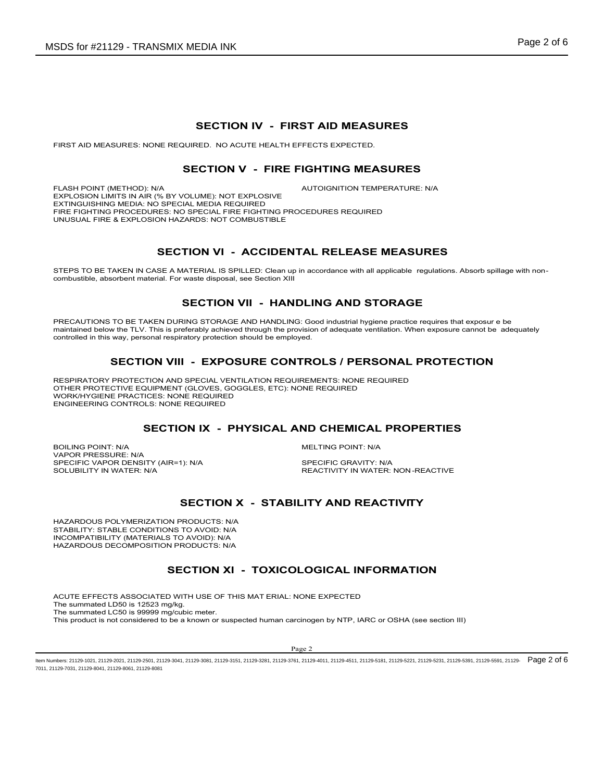FIRST AID MEASURES: NONE REQUIRED. NO ACUTE HEALTH EFFECTS EXPECTED.

# EDIA INK<br>
SECTION IV - FIRST AID MEASURES<br>
RED. NO ACUTE HEALTH EFFECTS EXPECTED.<br>
CTION V - FIRE FIGHTING MEASURES<br>
AUTOIGNITION TEMPERATURE: N/A

MEDIA INK<br>
SECTION IV - FIRST AID MEASURES<br>
NUIRED. NO ACUTE HEALTH EFFECTS EXPECTED.<br>
SECTION V - FIRE FIGHTING MEASURES<br>
OLUME): NOT EXPLOSIVE<br>
AUTOIGNITION TEMPERATURE: NIA<br>
SPECIAL FIRE FIGHTING PROCEDURES REQUIRED<br>
AR SDS for #21129 - TRANSMIX MEDIA INK<br>
SECTION IV - FIRST AID MEASURES<br>
FIRST AID MEASURES: NONE REQUIRED. NO ACUTE HEALTH EFFECTS EXPECTED.<br>
SECTION V - FIRE FIGHTING MEASURES<br>
FLASH POINT (METHOD): N/A<br>
EXTRIGUISHING MEOR EXPLOSION LIMITS IN AIR (% BY VOLUME): NOT EXPLOSIVE EXTINGUISHING MEDIA: NO SPECIAL MEDIA REQUIRED FIRE FIGHTING PROCEDURES: NO SPECIAL FIRE FIGHTING PROCEDURES REQUIRED UNUSUAL FIRE & EXPLOSION HAZARDS: NOT COMBUSTIBLE SMIX MEDIA INK<br>
SECTION IV - FIRST AID MEASURES<br>
NE REQUIRED. NO ACUTE HEALTH EFFECTS EXPECTED.<br>
SECTION V - FIRE FIGHTING MEASURES<br>
SEY VOLUME): NOT EXPLOSIVE<br>
AUTOIGNITION TEMPERATURE: NA<br>
SECTION VI - ACCIDENTAL RELEASE STEPS TO BE TAKEN IN CASE A MATERIAL IS SECTION IV - FIRST AID MEASURES<br>
SECTION IV - FIRST AID MEASURES<br>
SECTION V - FIRE FIGHTING MEASURES<br>
ENGELISMENT METHOD: NO<br>
SECTION V - FIRE FIGHTING MEASURES<br>
DEPREMENT IN A ROCED SECTION IV - FIRST AID MEASURES<br>
SECTION V - FIRST AID MEASURES<br>
SECTION V - FIRE FIGHTING MEASURES<br>
SECTION V - FIRE FIGHTING MEASURES<br>
NA MEDIA REQUIRED AND CONTIDUATION TEMPERATURE: NA<br>
NA MEDIA FREQUIRED<br>
NA MEDIA REQU **SECTION IV - FIRST AID MEASURES<br>
SECTION V - FIRE FIGHTING MEASURES<br>
FLASH PONT (METHOD: NAT AN R ON VOLUME): NOT EXPLOSIVE<br>
FLASH PONT UNITED AND NOT EXPLOSIVE AND CONDITION TEMPERATURE: NAT<br>
EXPLOSION LIMITS IN AR ON BY** SECTION IV - FIRST AID MEASURES<br>
FIASH FONT (METHOD), NA<br>
SECTION V - FIRE FIGHTING MEASURES<br>
FIASH FONT (METHOD), NA<br>
DETRICULISHEN ACHIEVED TRANSPORT CONTINUES PROCEDURES<br>
DETRICULISHEN ACHIEVED ACHIEVED CONTINUES PROCED SECTION IV - FIRST AID MEASURES<br>
SURES: NONE REQUIRED. NO ACUTE HEALTH EFFECTS EXPECTED.<br>
SECTION V - FIRE FIGHTING MEASURES<br>
METHOD: NA<br>
MITSINAR (% BY VOLUME). NOT EXPLOSIVE<br>
PROCEDURES NO SPECIAL NEDIA REQUIRED<br>
CONDUCE SECTION IN - FIRET TO BURGE AND THE PROTECTION CONTROLLS IN A SECTION IN A SECTION IN A SECTION IN A SECTION IN A SECTION IN A SECTION IN A SECTION IN A SECTION IN A SECTION IN A SECTION IN A SECTION IN A SECTION IN A SECT EXTRONOUTHE NATION TO BE THE SUPERVISTING PROTECTION CONTROLLS IN EXTREME IN A MELTING PROPERTIES<br>
BOILING POINT: NATION INCOMED AND THE HIGH HAND HARD CENTER (INCORPRET)<br>
SECTION VI - ACCIDENTAL RELEASE MEASURES<br>
SHEEP IS

STEPS TO BE TAKEN IN CASE A MATERIAL IS SPILLED: Clean up in accordance with all applicable regulations. Absorb spillage with non-<br>combustible, absorbent material. For waste disposal, see Section XIII

maintained below the TLV. This is preferably achieved through the provision of adequate ventilation. When exposure cannot be adequately controlled in this way, personal respiratory protection should be employed. FREE FIGHTING PROCEDURE TROTHON THE PROFILE PROPERTIES<br>
SPECIFIC VAPOR DENSITY (AIRENT CONTROL DESCRIPTION OF A COLUMBRITY:<br>
SPECIFICAL SPECIFICAL CONTROL CHEMIC CRAIN INTERNATION IS CONTROL SUPPRESS<br>
SPECIFICAL CASE A MAT ENGINE OF THE SOLUBION NORTHERN THE SOLUTION OF THE SOLUTION OF THE SOLUTION OF THE SOLUTION OF THE SOLUTION OF THE SOLUTION OF THE SOLUTION OF THE SOLUTION OF THE SOLUTION OF THE SOLUTION OF THE SOLUTION OF THE SOLUTION O THON VI - ACCIDENTAL RELEASE MEASURES<br>
MATERIAL IS SPILLED: Clean up in accordance with all applicable regulations. Absorb spillage with non-<br>
SECTION VII - HANDLING AND STORAGE<br>
NIS STORAGE AND HANDLING: Good industrial h

RESPIRATORY PROTECTION AND SPECIAL VENTILATION REQUIREMENTS: NONE REQUIRED OTHER PROTECTIVE EQUIPMENT (GLOVES, GOGGLES, ETC): NONE REQUIRED WORK/HYGIENE PRACTICES: NONE REQUIRED ENGINEERING CONTROLS: NONE REQUIRED

VAPOR PRESSURE: N/A<br>SPECIFIC VAPOR DENSITY (AIR=1): N/A SPECIFIC GRAVITY: N/A

HAZARDOUS POLYMERIZATION PRODUCTS: N/A STABILITY: STABLE CONDITIONS TO AVOID: N/A INCOMPATIBILITY (MATERIALS TO AVOID): N/A HAZARDOUS DECOMPOSITION PRODUCTS: N/A

AND CHEMICAL PROPERTIES<br>
MELTING POINT: N/A<br>
SPECIFIC GRAVITY: NA<br>
REACTIVITY IN WATER: NON-REACTIVE<br>
ILITY AND REACTIVITY<br>
DLOGICAL INFORMATION<br>
NONE EXPECTED<br>
TRICIPLE OF STREAT (SEE SECTION)<br>
TRICIPLE OF STREAT (SEE SEC DURING STORAGE AND HANGUING: Good industrial hygiene practics requires that exposure as<br>a simplembry procedure when the provided of adequate vertilation. When exposure cannot be adequately<br>spiratory protection. WENTIMITED EMPRESSION THE WAY ARE CONTROLS AND THE VALUE OF THE MAT ENGL. NOR EXPERIENCE CONTROLS (THE REQUIRED)<br>
SECTION VIEW - EXPOSURE REQUIRED<br>
CONDITIONS AND SPECIAL VENTILE AND CHEMICAL PROPERTIES<br>
CONDITIONS ASSOCIATION TO UNI The summated LD50 is 12523 mg/kg. The summated LC50 is 99999 mg/cubic meter. This product is not considered to be a known or suspected human carcinogen by NTP, IARC or OSHA (see section III)

ltem Numbers: 21129-1021, 21129-2021, 21129-2601, 21129-3041, 21129-3081, 21129-3151, 21129-3281, 21129-4011, 21129-4511, 21129-5181, 21129-5221, 21129-5231, 21129-5231, 21129-5591, 21129-5591, 21129-5231, 21129-5231, 2112 7011, 21129-7031, 21129-8041, 21129-8061, 21129-8081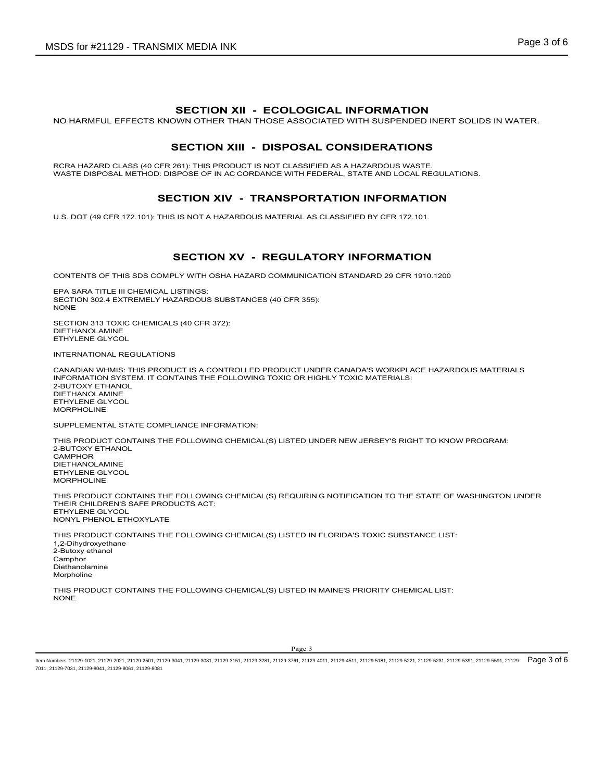X MEDIA INK<br>SECTION XII - ECOLOGICAL INFORMATION<br>WN OTHER THAN THOSE ASSOCIATED WITH SUSPENDED INERT SOLIDS IN WATER.<br>SECTION XIII - DISPOSAL CONSIDERATIONS<br>SEON AC CORDANCE WITH EFDERAL STATE AND LOCAL REGULATIONS SDS for #21129 - TRANSMIX MEDIA INK<br>
SECTION XII – ECOLOGICAL INFORMATION<br>
NO HARMFUL EFFECTS KNOWN OTHER THAN THOSE ASSOCIATED WITH SUSPENDED INERT SOLIDS IN WATER.<br>
SECTION XIII – DISPOSAL CONSIDERATIONS<br>
MASTE DISPOSAL 11X MEDIA INK<br>
SECTION XII - ECOLOGICAL INFORMATION<br>
DOWN OTHER THAN THOSE ASSOCIATED WITH SUSPENDED INERT SOLIDS IN WATER.<br>
SECTION XIII - DISPOSAL CONSIDERATIONS<br>
261): THIS PRODUCT IS NOT CLASISIFIED AS A HAZARDOUS WAST RCRA HAZARD CLASS (40 CFR 261): THIS PRODUCT IS NOT CLASSIFIED AS A HAZARDOUS WASTE.<br>WASTE DISPOSAL METHOD: DISPOSE OF IN AC CORDANCE WITH FEDERAL, STATE AND LOCAL REGULATIONS. SDS for #21129 - TRANSMIX MEDIA INK<br>
SECTION XII - ECOLOGICAL INFORMATION<br>
NO HARMFUL EFFECTS KNOWN OTHER THAN THOSE ASSOCIATED WITH SUSPENDED INERT SOLIDS IN WATER.<br>
SECTION XIII - DISPOSAL CONSIDERATIONS<br>
MASTE DISPOSAL SMIX MEDIA INK<br>
SECTION XII - ECOLOGICAL INFORMATION<br>
SECTION XIII - DISPOSAL CONSIDERATIONS<br>
SECTION XIII - DISPOSAL CONSIDERATIONS<br>
SECTION XIII - DISPOSAL CONSIDERATIONS<br>
SER 281): THIS PRODUCT IS NOT CLASSIFIED AS A HA **IX MEDIA INK**<br>
SECTION XII - ECOLOGICAL INFORMATION<br>
SECTION XIII - DISPOSAL CONSIDERATIONS<br>
SECTION XIII - DISPOSAL CONSIDERATIONS<br>
SECTION XIV - TRANSPORTATION INFORMATION<br>
SPOSE OF IN AC CONSIDERS IFIED AS A HAZARDOUS

U.S. DOT (49 CFR 172.101): THIS IS NOT A HAZARDOUS MATERIAL AS CLASSIFIED BY CFR 172.101.

CONTENTS OF THIS SDS COMPLY WITH OSHA HAZARD COMMUNICATION STANDARD 29 CFR 1910.1200

EPA SARA TITLE III CHEMICAL LISTINGS: SECTION 302.4 EXTREMELY HAZARDOUS SUBSTANCES (40 CFR 355):<br>NONF NONE **NOTE** 

SECTION 313 TOXIC CHEMICALS (40 CFR 372): DIETHANOLAMINE ETHYLENE GLYCOL

INTERNATIONAL REGULATIONS

CANADIAN WHMIS: THIS PRODUCT IS A CONTROLLED PRODUCT UNDER CANADA'S WORKPLACE HAZARDOUS MATERIALS INFORMATION SYSTEM. IT CONTAINS THE FOLLOWING TOXIC OR HIGHLY TOXIC MATERIALS: 2-BUTOXY ETHANOL DIETHANOLAMINE ETHYLENE GLYCOL MORPHOLINE

SUPPLEMENTAL STATE COMPLIANCE INFORMATION:

TED UNDER NEW JERSEY'S RIGHT TO KNOW PROGRAM:<br>20<br>20 AND BOTTFICATION TO THE STATE OF WASHINGTON UNDER<br>TED IN FLORIDA'S TOXIC SUBSTANCE LIST:<br>20<br>20 AND BOTTFICATION TO THE STATE OF WASHINGTON UNDER<br>20<br>20 AND MAINE'S PRIORIT THIS PRODUCT CONTAINS THE FOLLOWING CHEMICAL(S) LISTED UNDER NEW JERSEY'S RIGHT TO KNOW PROGRAM: 2-BUTOXY ETHANOL **CAMPHOR** DIETHANOLAMINE ETHYLENE GLYCOL MORPHOLINE **SECTION XV - REGULATORY INFORMATION**<br>
EDA ARAN TITE III CHEMICAL LISTINGS.<br>
BECTION 313 TOXIC CHEMICAL USING SUBSTANCES (40 CFR 355):<br>
NOFING CHEMICAL TRICULATIONS<br>
SECTION 313 TOXIC CHEMICALS (40 CFR 372):<br>
SECTION 313 T

THEIR CHILDREN'S SAFE PRODUCTS ACT: ETHYLENE GLYCOL NONYL PHENOL ETHOXYLATE

THIS PRODUCT CONTAINS THE FOLLOWING CHEMICAL(S) LISTED IN FLORIDA'S TOXIC SUBSTANCE LIST: 1,2-Dihydroxyethane 2-Butoxy ethanol **Camphor** Diethanolamine Morpholine

THIS PRODUCT CONTAINS THE FOLLOWING CHEMICAL(S) LISTED IN MAINE'S PRIORITY CHEMICAL LIST: NONE

ltem Numbers: 21129-1021, 21129-2021, 21129-2601, 21129-3041, 21129-3081, 21129-3151, 21129-3281, 21129-4011, 21129-4511, 21129-5181, 21129-5221, 21129-5231, 21129-5231, 21129-5591, 21129-5591, 21129-5231, 21129-5231, 2112 7011, 21129-7031, 21129-8041, 21129-8061, 21129-8081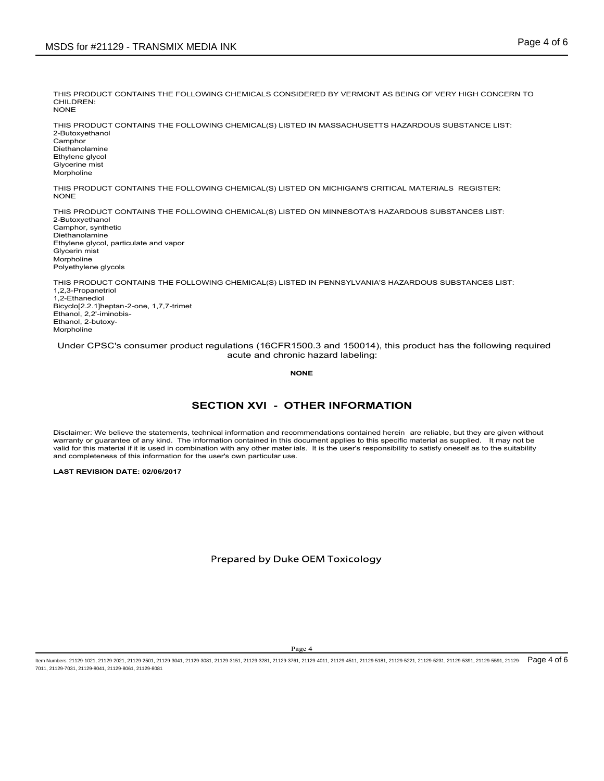THIS PRODUCT CONTAINS THE FOLLOWING CHEMICALS CONSIDERED BY VERMONT AS BEING OF VERY HIGH CONCERN TO CHILDREN:<br>NONE NONE **NOTE** 

THIS PRODUCT CONTAINS THE FOLLOWING CHEMICAL(S) LISTED IN MASSACHUSETTS HAZARDOUS SUBSTANCE LIST: 2-Butoxyethanol **Camphor** Diethanolamine Ethylene glycol Glycerine mist Morpholine SDS for #21129 - TRANSMIX MEDIA INK<br>THIS PRODUCT CONTAINS THE FOLLOWING CHEMICALS CONSIDERED BY VERMONT AS BEING OF VERY HIGH CONCERN TO<br>CHILDREN:<br>THIS PRODUCT CONTAINS THE FOLLOWING CHEMICAL(S) LISTED IN MASSACHUSETTS HAZ

THIS PRODUCT CONTAINS THE FOLLOWING CHEMICAL(S) LISTED ON MICHIGAN'S CRITICAL MATERIALS REGISTER:<br>NONE

THIS PRODUCT CONTAINS THE FOLLOWING CHEMICAL(S) LISTED ON MINNESOTA'S HAZARDOUS SUBSTANCES LIST: 2-Butoxyethanol Camphor, synthetic Diethanolamine Ethylene glycol, particulate and vapor Glycerin mist Morpholine Polyethylene glycols LOWING CHEMICAL(S) LISTED ON MICHIGAN'S CRITICAL MATERIALS REGISTER:<br>LOWING CHEMICAL(S) LISTED ON MINNESOTA'S HAZARDOUS SUBSTANCES LIST:<br>LOWING CHEMICAL(S) LISTED IN PENNSYLVANIA'S HAZARDOUS SUBSTANCES LIST:<br><br>SECTION XVI -WOUNDINGTON WAS THE FOLLOWING CHEMICAL(S) LISTED ON MICHIGAN'S CRITICAL MATERIALS REGISTER:<br>THIS PRODUCT CONTAINS THE FOLLOWING CHEMICAL (S) LISTED ON MINIM-SOTIA'S HAZARDOUS SUBSTANCES LIST:<br>Distinguisments,<br>Distinguismen THIS PRODUCT CONTAINS THE FOLLOWING CHEMICAL(S) LISTED ON MICHIGAN'S CRITICAL MATERIALS REGISTER.<br>THOMAS FRODUCT CONTAINS THE FOLLOWING CHEMICAL(S) LISTED ON MINNESOTA'S HAZARDOUS SUBSTANCES LIST:<br>Chingens glycol, parisola valid for the material is material in the this material is used in the user's contribution with the material is used in the material in the material in the user's response of the material in the user's response of the mate

THIS PRODUCT CONTAINS THE FOLLOWING CHEMICAL(S) LISTED IN PENNSYLVANIA'S HAZARDOUS SUBSTANCES LIST: 1,2,3-Propanetriol 1,2-Ethanediol Bicyclo[2.2.1]heptan-2-one, 1,7,7-trimet Ethanol, 2,2'-iminobis-Ethanol, 2-butoxy-Morpholine

Under CPSC's consumer product regulations (16CFR1500.3 and 150014), this product has the following required acute and chronic hazard labeling:

NONE **NOTE** 

**FTHER INFORMATION**<br>commentations contained herein are reliable, but they are given without<br>document applies to this specific material as supplied thromy not be<br>als. It is the user's responsibility to satisfy oneself as to valid for this material if it is used in combination with any other mater ials. It is the user's responsibility to satisfy oneself as to the suitability<br>and completeness of this information for the user's own particular us

LAST REVISION DATE: 02/06/2017

ltem Numbers: 21129-1021, 21129-2021, 21129-2601, 21129-3041, 21129-3081, 21129-3151, 21129-3281, 21129-4011, 21129-4011, 21129-4511, 21129-5181, 21129-5231, 21129-5231, 21129-5391, 21129-5591, 21129-5231, 21129-5231, 2112 7011, 21129-7031, 21129-8041, 21129-8061, 21129-8081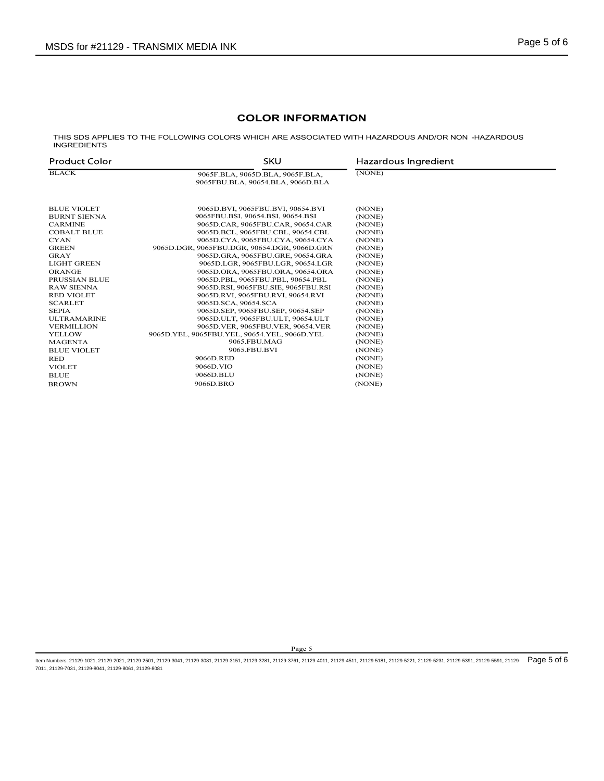# COLOR INFORMATION

|                                           | <b>MSDS for #21129 - TRANSMIX MEDIA INK</b>                                                        |                      | Page 5 of 6 |
|-------------------------------------------|----------------------------------------------------------------------------------------------------|----------------------|-------------|
|                                           |                                                                                                    |                      |             |
|                                           |                                                                                                    |                      |             |
|                                           |                                                                                                    |                      |             |
|                                           | <b>COLOR INFORMATION</b>                                                                           |                      |             |
| <b>INGREDIENTS</b>                        | THIS SDS APPLIES TO THE FOLLOWING COLORS WHICH ARE ASSOCIATED WITH HAZARDOUS AND/OR NON -HAZARDOUS |                      |             |
| <b>Product Color</b>                      | <b>SKU</b>                                                                                         | Hazardous Ingredient |             |
|                                           |                                                                                                    | (NONE)               |             |
| <b>BLACK</b>                              | 9065F.BLA, 9065D.BLA, 9065F.BLA,<br>9065FBU.BLA, 90654.BLA, 9066D.BLA                              |                      |             |
|                                           |                                                                                                    |                      |             |
| <b>BLUE VIOLET</b><br><b>BURNT SIENNA</b> | 9065D.BVI, 9065FBU.BVI, 90654.BVI<br>9065FBU.BSI, 90654.BSI, 90654.BSI                             | (NONE)<br>(NONE)     |             |
| <b>CARMINE</b>                            | 9065D.CAR, 9065FBU.CAR, 90654.CAR                                                                  | (NONE)               |             |
| <b>COBALT BLUE</b><br>CYAN                | 9065D.BCL, 9065FBU.CBL, 90654.CBL<br>9065D.CYA, 9065FBU.CYA, 90654.CYA                             | (NONE)<br>(NONE)     |             |
| <b>GREEN</b>                              | 9065D.DGR, 9065FBU.DGR, 90654.DGR, 9066D.GRN                                                       | (NONE)               |             |
| GRAY                                      | 9065D.GRA, 9065FBU.GRE, 90654.GRA                                                                  | (NONE)               |             |
| LIGHT GREEN<br><b>ORANGE</b>              | 9065D.LGR, 9065FBU.LGR, 90654.LGR<br>9065D.ORA, 9065FBU.ORA, 90654.ORA                             | (NONE)<br>(NONE)     |             |
| PRUSSIAN BLUE                             | 9065D.PBL, 9065FBU.PBL, 90654.PBL                                                                  | (NONE)               |             |
| <b>RAW SIENNA</b>                         | 9065D.RSI, 9065FBU.SIE, 9065FBU.RSI                                                                | (NONE)               |             |
| <b>RED VIOLET</b>                         | 9065D.RVI, 9065FBU.RVI, 90654.RVI                                                                  | (NONE)               |             |
| <b>SCARLET</b><br>SEPIA                   | 9065D.SCA, 90654.SCA<br>9065D.SEP, 9065FBU.SEP, 90654.SEP                                          | (NONE)<br>(NONE)     |             |
| <b>ULTRAMARINE</b>                        | 9065D.ULT, 9065FBU.ULT, 90654.ULT                                                                  | (NONE)               |             |
| <b>VERMILLION</b>                         | 9065D.VER, 9065FBU.VER, 90654.VER                                                                  | (NONE)               |             |
| YELLOW<br><b>MAGENTA</b>                  | 9065D.YEL, 9065FBU.YEL, 90654.YEL, 9066D.YEL<br>9065.FBU.MAG                                       | (NONE)<br>(NONE)     |             |
| <b>BLUE VIOLET</b>                        | 9065.FBU.BVI                                                                                       | (NONE)               |             |
| RED                                       | 9066D.RED                                                                                          | (NONE)               |             |
| <b>VIOLET</b><br><b>BLUE</b>              | 9066D.VIO<br>9066D.BLU                                                                             | (NONE)<br>(NONE)     |             |

Page 5<br>761, 21284411, 21294511, 21295451, 21295451, 21294221, 21294231, 21294391, 21294561, 21294<br>761, 21294411, 21294511, 21294541, 21294542, 21294221, 21294331, 212945691, 212945691, 21294 ltem Numbers: 21129-1021, 21129-2021, 21129-2601, 21129-3041, 21129-3081, 21129-3151, 21129-3281, 21129-4011, 21129-4511, 21129-5181, 21129-5221, 21129-5231, 21129-5231, 21129-5591, 21129-5591, 21129-5231, 21129-5231, 2112 7011, 21129-7031, 21129-8041, 21129-8061, 21129-8081